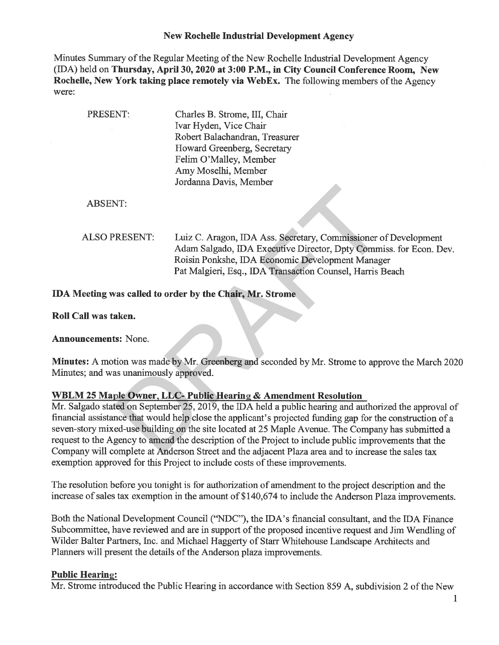### New Rochelle Industrial Development Agency

Minutes Summary of the Regular Meeting of the New Rochelle Industrial Development Agency (IDA) held on Thursday, April 30, 2020 at 3:00 P.M., in City Council Conference Room, New Rochelle, New York taking place remotely via WebEx. The following members of the Agency were:

| PRESENT:                               | Charles B. Strome, III, Chair<br>Ivar Hyden, Vice Chair                                                                                                                                   |
|----------------------------------------|-------------------------------------------------------------------------------------------------------------------------------------------------------------------------------------------|
|                                        | Robert Balachandran, Treasurer                                                                                                                                                            |
|                                        | Howard Greenberg, Secretary                                                                                                                                                               |
|                                        | Felim O'Malley, Member                                                                                                                                                                    |
|                                        | Amy Moselhi, Member                                                                                                                                                                       |
|                                        | Jordanna Davis, Member                                                                                                                                                                    |
|                                        |                                                                                                                                                                                           |
| <b>ABSENT:</b>                         |                                                                                                                                                                                           |
|                                        |                                                                                                                                                                                           |
| <b>ALSO PRESENT:</b>                   | Luiz C. Aragon, IDA Ass. Secretary, Commissioner of Development<br>Adam Salgado, IDA Executive Director, Dpty Commiss. for Econ. Dev.<br>Roisin Ponkshe, IDA Economic Development Manager |
|                                        | Pat Malgieri, Esq., IDA Transaction Counsel, Harris Beach                                                                                                                                 |
|                                        | IDA Meeting was called to order by the Chair, Mr. Strome                                                                                                                                  |
| Roll Call was taken.                   |                                                                                                                                                                                           |
| <b>Announcements: None.</b>            |                                                                                                                                                                                           |
| Minutes; and was unanimously approved. | Minutes: A motion was made by Mr. Greenberg and seconded by Mr. Strome to approve the March 202                                                                                           |
|                                        |                                                                                                                                                                                           |
|                                        | WBLM 25 Maple Owner, LLC- Public Hearing & Amendment Resolution                                                                                                                           |
|                                        | Mr. Salgado stated on September 25, 2019, the IDA held a public hearing and authorized the approval of                                                                                    |
|                                        | financial assistance that would help close the applicant's projected funding gap for the construction of a                                                                                |
|                                        | seven-story mixed-use building on the site located at 25 Maple Avenue. The Company has submitted a                                                                                        |
|                                        | request to the Agency to amend the description of the Project to include public improvements that the                                                                                     |
|                                        | Company will complete at Anderson Street and the adjacent Plaza area and to increase the sales tax                                                                                        |

### WBLM 25 Maple Owner, LLC- Public Hearing & Amendment Resolution

Mr. Salgado stated on September 25, 2019, the IDA held a public hearing and aufhorized the approval of financial assistance that would help close the applicant's projected funding gap for the construction of a seven-story mixed-use building on the site located at 25 Maple Avenue. The Company has submitted a request to the Agency to amend the description of the Project to include public improvements that the Company will complete at Anderson Street and the adjacent Plaza area and to increase the sales tax exemption approved for this Project to include costs of these improvements.

The resolution before you tonight is for authorization of amendment to the project description and the increase of sales tax exemption in the amount of \$140,674 to include the Anderson Plaza improvements.

Both the National Development Council ("NDC"), the IDA'S financial consultant, and the IDA Finance Subcommittee, have reviewed and are in support of the proposed incentive request and Jim Wendling of Wilder Balter Partners, Inc. and Michael Haggerty of Starr Whitehouse Landscape Architects and Planners will present the details of the Anderson plaza improvements.

### **Public Hearing:**

Mr. Strome introduced the Public Hearing in accordance with Section 859 A, subdivision 2 of the New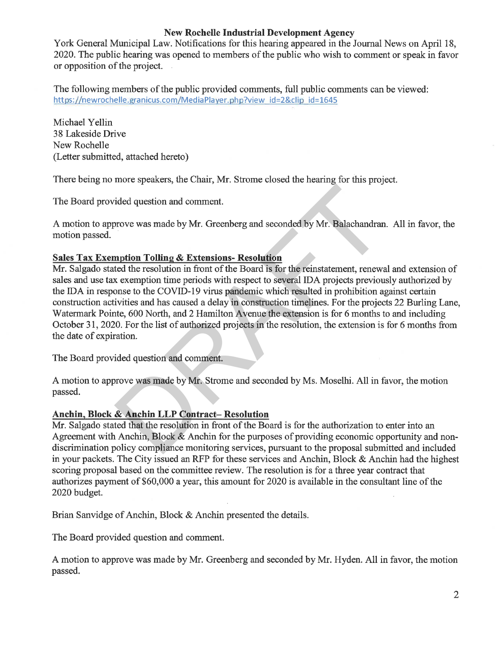## New Rochelle Industrial Development Agency

York General Municipal Law. Notifications for this hearing appeared in the Journal News on April 18, 2020. The public hearing was opened to members of the public who wish to comment or speak in favor or opposition of the project.

The following members of the public provided comments, fall public comments can be viewed: https://newrochelle.granicus.com/MediaPlayer.php?view id=2&clip id=1645

Michael Yellin 38 Lakeside Drive New Rochelle (Letter submitted, attached hereto)

There being no more speakers, the Chair, Mr. Strome closed the hearing for this project.

The Board provided question and comment.

A motion to approve was made by Mr. Greenberg and seconded by Mr. Balachandran. All in favor, the motion passed.

# Sales Tax Exemption Tolling & Extensions- Resolution

Mr. Salgado stated the resolution in front of the Board is for the reinstatement, renewal and extension of sales and use tax exemption time periods with respect to several IDA projects previously authorized by the IDA in response to the COVID-19 virus pandemic which resulted in prohibition against certain constmction activities and has caused a delay in construction timelines. For the projects 22 Burling Lane, Watermark Pointe, 600 North, and 2 Hamilton Avenue the extension is for 6 months to and including October 31, 2020. For the list of authorized projects in the resolution, the extension is for 6 months from the date of expiration. ided question and comment.<br>
Frove was made by Mr. Greenberg and seconded by Mr. Balachandran<br> **nprion Tolling & Extensions- Resolution**<br>
ted the resolution in front of the Board is for the reinstatement, renew<br>
x exemption

The Board provided question and comment.

A motion to approve was made by Mr. Strome and seconded by Ms. Mosethi. All in favor, the motion passed.

## Anchin Block & Anchin LLP Contract- Resolution

Mr. Salgado stated that the resolution in front of the Board is for the authorization to enter into an Agreement with Anchin, Block & Anchin for the purposes of providing economic opportunity and nondiscrimination policy compliance monitoring services, pursuant to the proposal submitted and included in your packets. The City issued an RFP for these services and Anchin, Block & Anchin had the highest scoring proposal based on the committee review. The resolution is for a three year contract that authorizes payment of \$60,000 a year, this amount for 2020 is available in the consultant line of the 2020 budget.

Brian Sanvidge of Anchin, Block & Anchin presented the details.

The Board provided question and comment.

A motion to approve was made by Mr. Greenberg and seconded by Mr. Hyden. All in favor, the motion passed.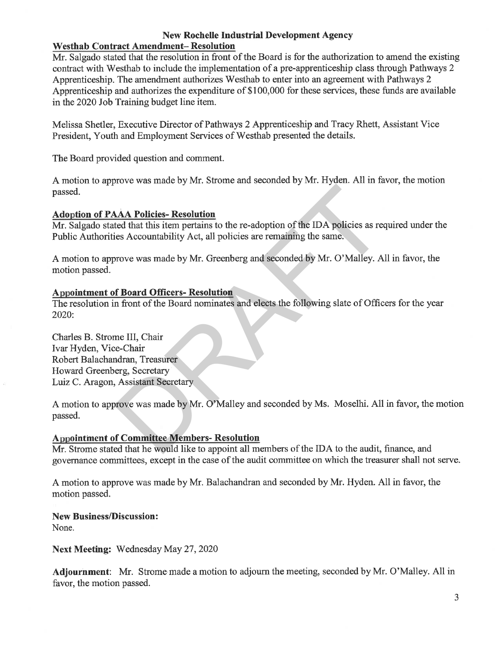### New Rochelle Industrial Development Agency Westhab Contract Amendment- Resolution

Mr. Salgado stated that the resolution in front of the Board is for the authorization to amend the existing contract with Westhab to include the implementation of a pre-apprenticeship class through Pathways 2 Apprenticeship. The amendment authorizes Westhab to enter into an agreement with Pathways 2 Apprenticeship and authorizes the expenditure of \$100,000 for these services, these funds are available in the 2020 Job Training budget line item.

Melissa Shetler, Executive Director of Pathways 2 Apprenticeship and Tracy Rhett, Assistant Vice President, Youth and Employment Services of Westhab presented the details.

The Board provided question and comment.

A motion to approve was made by Mr. Strome and seconded by Mr. Hyden. All in favor, the motion passed.

# **Adoption of PAAA Policies- Resolution**

Mr. Salgado stated that this item pertains to the re-adoption of the IDA policies as required under the Public Authorities Accountability Act, all policies are remaining the same.

A motion to approve was made by Mr. Greenberg and seconded by Mr. O'Malley. All in favor, the motion passed.

# Appointment of Board Officers- Resolution

The resolution in front of the Board nominates and elects the following slate of Officers for the year 2020:

Charles B. Strome III, Chair Ivar Hyden, Vice-Chair Robert Balachandran, Treasurer Howard Greenberg, Secretary Luiz C. Aragon, Assistant Secretary

A motion to approve was made by Mr. O'Malley and seconded by Ms. Moselhi. All in favor, the motion passed. AA Policies-Resolution<br>ted that this item pertains to the re-adoption of the IDA policies as recess<br>Accountability Act, all policies are remaining the same.<br>Frove was made by Mr. Greenberg and seconded by Mr. O'Malley. A<br>

# **Appointment of Committee Members- Resolution**

Mr. Strome stated that he would like to appoint all members of the IDA to the audit, finance, and governance committees, except in the case of the audit committee on which the treasurer shall not serve.

A motion to approve was made by Mr. Balachandran and seconded by Mr. Hyden. All in favor, the motion passed.

# New Business/Discussion:

None.

Next Meeting: Wednesday May 27, 2020

Adjournment: Mr. Strome made a motion to adjourn the meeting, seconded by Mr. O'Malley. All in favor, the motion passed.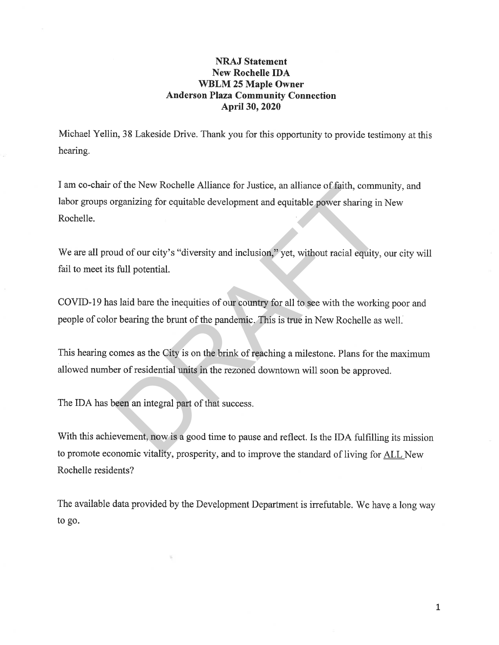### NRAJ Statement New Rochelle IDA WBLM 25 Maple Owner Anderson Plaza Community Connection April 30, 2020

Michael Yellin, 38 Lakeside Drive. Thank you for this opportunity to provide testimony at this hearing.

I am co-chair of the New Rochelle Alliance for Justice, an alliance of faith, community, and labor groups organizing for equitable development and equitable power sharing in New Rochelle. The New Kochelle Alliance for Justice, an alliance of faith, community<br>reganizing for equitable development and equitable power sharing in<br>types sharing in and of our city's "diversity and inclusion," yet, without racial e

We are all proud of our city's "diversity and inclusion," yet, without racial equity, our city will fail to meet its full potential.

COVID-19 has laid bare the inequities of our country for all to see with the working poor and people of color bearing the brunt of the pandemic. This is true in New Rochelle as well.

This hearing comes as the City is on the brink of reaching a milestone. Plans for the maximum allowed number of residential units in the rezoned downtown will soon be approved.

The IDA has been an integral part of that success.

With this achievement, now is a good time to pause and reflect. Is the IDA fulfilling its mission to promote economic vitality, prosperity, and to improve the standard of living for ALL New Rochelle residents?

The available data provided by the Development Department is irrefutable. We have a long way to go.

 $\mathbf{1}$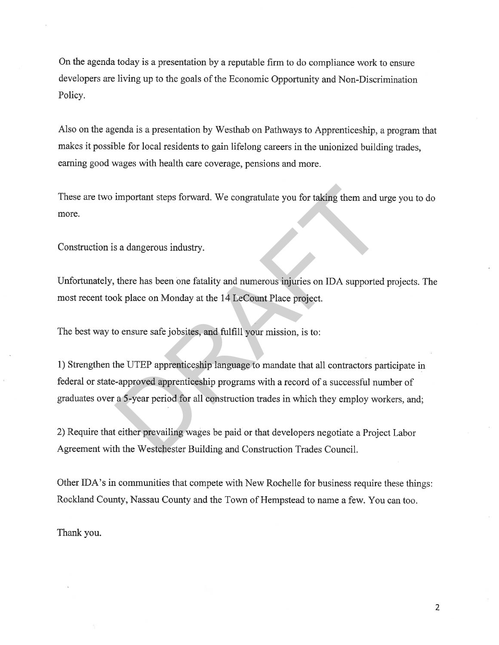On the agenda today is a presentation by a reputable firm to do compliance work to ensure developers are living up to the goals of the Economic Opportunity and Non-Discrimination Policy.

Also on the agenda is a presentation by Westhab on Pathways to Apprenticeship, a program that makes it possible for local residents to gain lifelong careers in the unionized building trades, earning good wages with health care coverage, pensions and more.

These are two important steps forward. We congratulate you for taking them and urge you to do more.

Construction is a dangerous industry.

Unfortunately, there has been one fatality and numerous injuries on IDA supported projects. The most recent took place on Monday at the 14 LeCount Place project.

The best way to ensure safe jobsites, and fulfill your mission, is to:

1) Strengthen the UTEP apprenticeship language to mandate that all contractors participate in federal or state-approved apprenticeship programs with a record of a successful number of graduates over a 5-year period for all construction trades in which they employ workers, and; important steps forward. We congratulate you for taking them and u<br>
s a dangerous industry.<br>
there has been one fatality and numerous injuries on IDA supported<br>
ok place on Monday at the 14 LeCount Place project.<br>
o ensure

2) Require that either prevailing wages be paid or that developers negotiate a Project Labor Agreement with the Westchester Buildingand Construction Trades Council.

Other IDA'S in communities that compete with New Rochelle for business require these things: Rockland County, Nassau County and the Town of Hempstead to name a few. You can too.

Thank you.